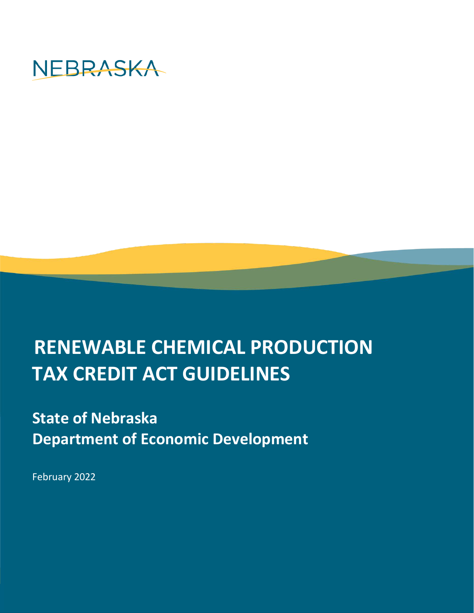

# **RENEWABLE CHEMICAL PRODUCTION TAX CREDIT ACT GUIDELINES**

## **State of Nebraska Department of Economic Development**

February 2022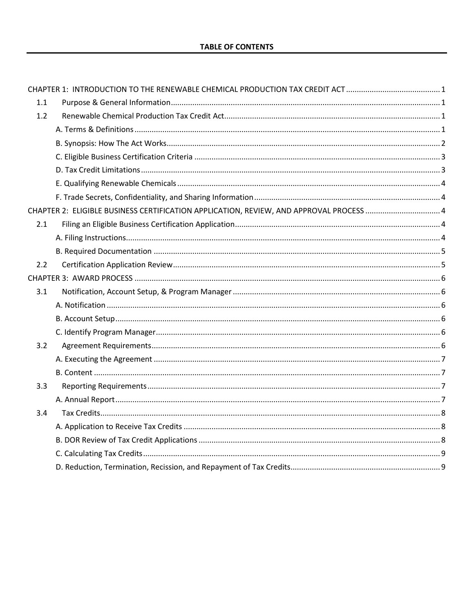| 1.1 |                                                                                         |  |
|-----|-----------------------------------------------------------------------------------------|--|
| 1.2 |                                                                                         |  |
|     |                                                                                         |  |
|     |                                                                                         |  |
|     |                                                                                         |  |
|     |                                                                                         |  |
|     |                                                                                         |  |
|     |                                                                                         |  |
|     | CHAPTER 2: ELIGIBLE BUSINESS CERTIFICATION APPLICATION, REVIEW, AND APPROVAL PROCESS  4 |  |
| 2.1 |                                                                                         |  |
|     |                                                                                         |  |
|     |                                                                                         |  |
| 2.2 |                                                                                         |  |
|     |                                                                                         |  |
| 3.1 |                                                                                         |  |
|     |                                                                                         |  |
|     |                                                                                         |  |
|     |                                                                                         |  |
| 3.2 |                                                                                         |  |
|     |                                                                                         |  |
|     |                                                                                         |  |
| 3.3 |                                                                                         |  |
|     |                                                                                         |  |
| 3.4 |                                                                                         |  |
|     |                                                                                         |  |
|     |                                                                                         |  |
|     |                                                                                         |  |
|     |                                                                                         |  |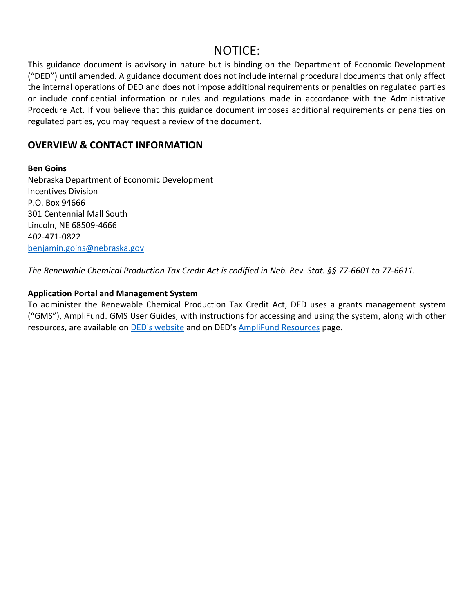### NOTICE:

This guidance document is advisory in nature but is binding on the Department of Economic Development ("DED") until amended. A guidance document does not include internal procedural documents that only affect the internal operations of DED and does not impose additional requirements or penalties on regulated parties or include confidential information or rules and regulations made in accordance with the Administrative Procedure Act. If you believe that this guidance document imposes additional requirements or penalties on regulated parties, you may request a review of the document.

#### **OVERVIEW & CONTACT INFORMATION**

**Ben Goins** Nebraska Department of Economic Development Incentives Division P.O. Box 94666 301 Centennial Mall South Lincoln, NE 68509-4666 402-471-0822 [benjamin.goins@nebraska.gov](mailto:benjamin.goins@nebraska.gov)

*The Renewable Chemical Production Tax Credit Act is codified in Neb. Rev. Stat. §§ 77-6601 to 77-6611.*

#### **Application Portal and Management System**

To administer the Renewable Chemical Production Tax Credit Act, DED uses a grants management system ("GMS"), AmpliFund. GMS User Guides, with instructions for accessing and using the system, along with other resources, are available on **[DED's website](https://opportunity.nebraska.gov/) and on DED's [AmpliFund Resources](https://opportunity.nebraska.gov/programs/amplifund/)** page.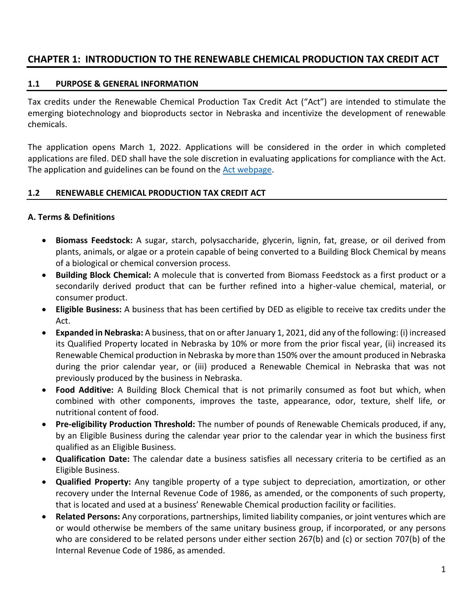#### <span id="page-3-0"></span>**CHAPTER 1: INTRODUCTION TO THE RENEWABLE CHEMICAL PRODUCTION TAX CREDIT ACT**

#### <span id="page-3-1"></span>**1.1 PURPOSE & GENERAL INFORMATION**

Tax credits under the Renewable Chemical Production Tax Credit Act ("Act") are intended to stimulate the emerging biotechnology and bioproducts sector in Nebraska and incentivize the development of renewable chemicals.

The application opens March 1, 2022. Applications will be considered in the order in which completed applications are filed. DED shall have the sole discretion in evaluating applications for compliance with the Act. The application and guidelines can be found on the **Act webpage**.

#### <span id="page-3-2"></span>**1.2 RENEWABLE CHEMICAL PRODUCTION TAX CREDIT ACT**

#### <span id="page-3-3"></span>**A. Terms & Definitions**

- **Biomass Feedstock:** A sugar, starch, polysaccharide, glycerin, lignin, fat, grease, or oil derived from plants, animals, or algae or a protein capable of being converted to a Building Block Chemical by means of a biological or chemical conversion process.
- **Building Block Chemical:** A molecule that is converted from Biomass Feedstock as a first product or a secondarily derived product that can be further refined into a higher-value chemical, material, or consumer product.
- **Eligible Business:** A business that has been certified by DED as eligible to receive tax credits under the Act.
- **Expanded in Nebraska:** A business, that on or after January 1, 2021, did any of the following: (i) increased its Qualified Property located in Nebraska by 10% or more from the prior fiscal year, (ii) increased its Renewable Chemical production in Nebraska by more than 150% over the amount produced in Nebraska during the prior calendar year, or (iii) produced a Renewable Chemical in Nebraska that was not previously produced by the business in Nebraska.
- **Food Additive:** A Building Block Chemical that is not primarily consumed as foot but which, when combined with other components, improves the taste, appearance, odor, texture, shelf life, or nutritional content of food.
- **Pre-eligibility Production Threshold:** The number of pounds of Renewable Chemicals produced, if any, by an Eligible Business during the calendar year prior to the calendar year in which the business first qualified as an Eligible Business.
- **Qualification Date:** The calendar date a business satisfies all necessary criteria to be certified as an Eligible Business.
- **Qualified Property:** Any tangible property of a type subject to depreciation, amortization, or other recovery under the Internal Revenue Code of 1986, as amended, or the components of such property, that is located and used at a business' Renewable Chemical production facility or facilities.
- **Related Persons:** Any corporations, partnerships, limited liability companies, or joint ventures which are or would otherwise be members of the same unitary business group, if incorporated, or any persons who are considered to be related persons under either section 267(b) and (c) or section 707(b) of the Internal Revenue Code of 1986, as amended.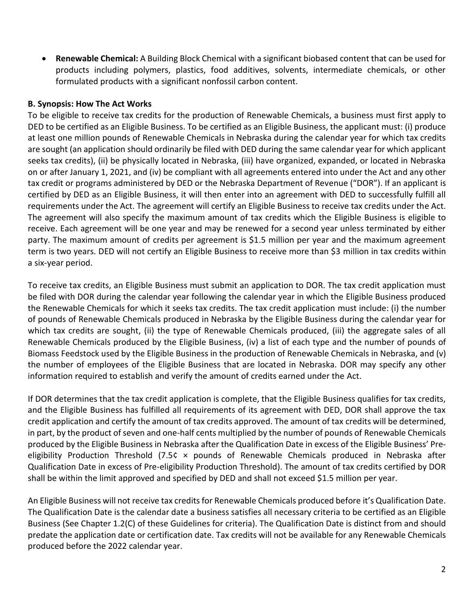• **Renewable Chemical:** A Building Block Chemical with a significant biobased content that can be used for products including polymers, plastics, food additives, solvents, intermediate chemicals, or other formulated products with a significant nonfossil carbon content.

#### **B. Synopsis: How The Act Works**

To be eligible to receive tax credits for the production of Renewable Chemicals, a business must first apply to DED to be certified as an Eligible Business. To be certified as an Eligible Business, the applicant must: (i) produce at least one million pounds of Renewable Chemicals in Nebraska during the calendar year for which tax credits are sought (an application should ordinarily be filed with DED during the same calendar year for which applicant seeks tax credits), (ii) be physically located in Nebraska, (iii) have organized, expanded, or located in Nebraska on or after January 1, 2021, and (iv) be compliant with all agreements entered into under the Act and any other tax credit or programs administered by DED or the Nebraska Department of Revenue ("DOR"). If an applicant is certified by DED as an Eligible Business, it will then enter into an agreement with DED to successfully fulfill all requirements under the Act. The agreement will certify an Eligible Business to receive tax credits under the Act. The agreement will also specify the maximum amount of tax credits which the Eligible Business is eligible to receive. Each agreement will be one year and may be renewed for a second year unless terminated by either party. The maximum amount of credits per agreement is \$1.5 million per year and the maximum agreement term is two years. DED will not certify an Eligible Business to receive more than \$3 million in tax credits within a six-year period.

To receive tax credits, an Eligible Business must submit an application to DOR. The tax credit application must be filed with DOR during the calendar year following the calendar year in which the Eligible Business produced the Renewable Chemicals for which it seeks tax credits. The tax credit application must include: (i) the number of pounds of Renewable Chemicals produced in Nebraska by the Eligible Business during the calendar year for which tax credits are sought, (ii) the type of Renewable Chemicals produced, (iii) the aggregate sales of all Renewable Chemicals produced by the Eligible Business, (iv) a list of each type and the number of pounds of Biomass Feedstock used by the Eligible Business in the production of Renewable Chemicals in Nebraska, and (v) the number of employees of the Eligible Business that are located in Nebraska. DOR may specify any other information required to establish and verify the amount of credits earned under the Act.

If DOR determines that the tax credit application is complete, that the Eligible Business qualifies for tax credits, and the Eligible Business has fulfilled all requirements of its agreement with DED, DOR shall approve the tax credit application and certify the amount of tax credits approved. The amount of tax credits will be determined, in part, by the product of seven and one-half cents multiplied by the number of pounds of Renewable Chemicals produced by the Eligible Business in Nebraska after the Qualification Date in excess of the Eligible Business' Preeligibility Production Threshold (7.5¢ × pounds of Renewable Chemicals produced in Nebraska after Qualification Date in excess of Pre-eligibility Production Threshold). The amount of tax credits certified by DOR shall be within the limit approved and specified by DED and shall not exceed \$1.5 million per year.

An Eligible Business will not receive tax credits for Renewable Chemicals produced before it's Qualification Date. The Qualification Date is the calendar date a business satisfies all necessary criteria to be certified as an Eligible Business (See Chapter 1.2(C) of these Guidelines for criteria). The Qualification Date is distinct from and should predate the application date or certification date. Tax credits will not be available for any Renewable Chemicals produced before the 2022 calendar year.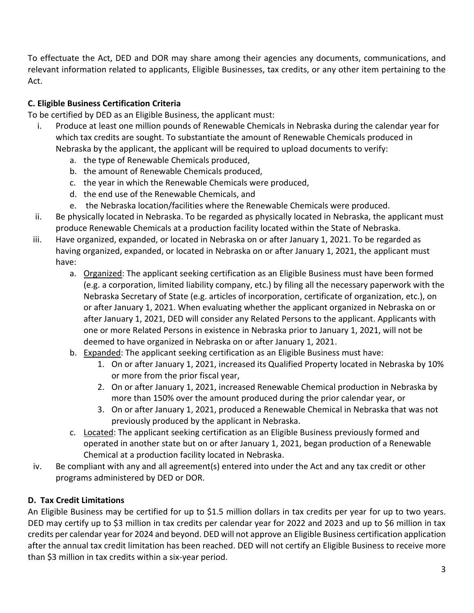To effectuate the Act, DED and DOR may share among their agencies any documents, communications, and relevant information related to applicants, Eligible Businesses, tax credits, or any other item pertaining to the Act.

#### <span id="page-5-0"></span>**C. Eligible Business Certification Criteria**

To be certified by DED as an Eligible Business, the applicant must:

- i. Produce at least one million pounds of Renewable Chemicals in Nebraska during the calendar year for which tax credits are sought. To substantiate the amount of Renewable Chemicals produced in Nebraska by the applicant, the applicant will be required to upload documents to verify:
	- a. the type of Renewable Chemicals produced,
	- b. the amount of Renewable Chemicals produced,
	- c. the year in which the Renewable Chemicals were produced,
	- d. the end use of the Renewable Chemicals, and
	- e. the Nebraska location/facilities where the Renewable Chemicals were produced.
- ii. Be physically located in Nebraska. To be regarded as physically located in Nebraska, the applicant must produce Renewable Chemicals at a production facility located within the State of Nebraska.
- iii. Have organized, expanded, or located in Nebraska on or after January 1, 2021. To be regarded as having organized, expanded, or located in Nebraska on or after January 1, 2021, the applicant must have:
	- a. Organized: The applicant seeking certification as an Eligible Business must have been formed (e.g. a corporation, limited liability company, etc.) by filing all the necessary paperwork with the Nebraska Secretary of State (e.g. articles of incorporation, certificate of organization, etc.), on or after January 1, 2021. When evaluating whether the applicant organized in Nebraska on or after January 1, 2021, DED will consider any Related Persons to the applicant. Applicants with one or more Related Persons in existence in Nebraska prior to January 1, 2021, will not be deemed to have organized in Nebraska on or after January 1, 2021.
	- b. Expanded: The applicant seeking certification as an Eligible Business must have:
		- 1. On or after January 1, 2021, increased its Qualified Property located in Nebraska by 10% or more from the prior fiscal year,
		- 2. On or after January 1, 2021, increased Renewable Chemical production in Nebraska by more than 150% over the amount produced during the prior calendar year, or
		- 3. On or after January 1, 2021, produced a Renewable Chemical in Nebraska that was not previously produced by the applicant in Nebraska.
	- c. Located: The applicant seeking certification as an Eligible Business previously formed and operated in another state but on or after January 1, 2021, began production of a Renewable Chemical at a production facility located in Nebraska.
- iv. Be compliant with any and all agreement(s) entered into under the Act and any tax credit or other programs administered by DED or DOR.

#### <span id="page-5-1"></span>**D. Tax Credit Limitations**

An Eligible Business may be certified for up to \$1.5 million dollars in tax credits per year for up to two years. DED may certify up to \$3 million in tax credits per calendar year for 2022 and 2023 and up to \$6 million in tax credits per calendar year for 2024 and beyond. DED will not approve an Eligible Business certification application after the annual tax credit limitation has been reached. DED will not certify an Eligible Business to receive more than \$3 million in tax credits within a six-year period.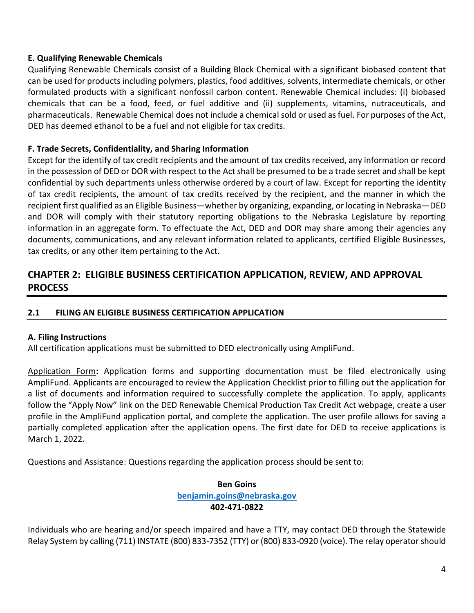#### **E. Qualifying Renewable Chemicals**

Qualifying Renewable Chemicals consist of a Building Block Chemical with a significant biobased content that can be used for products including polymers, plastics, food additives, solvents, intermediate chemicals, or other formulated products with a significant nonfossil carbon content. Renewable Chemical includes: (i) biobased chemicals that can be a food, feed, or fuel additive and (ii) supplements, vitamins, nutraceuticals, and pharmaceuticals. Renewable Chemical does not include a chemical sold or used as fuel. For purposes of the Act, DED has deemed ethanol to be a fuel and not eligible for tax credits.

#### <span id="page-6-0"></span>**F. Trade Secrets, Confidentiality, and Sharing Information**

Except for the identify of tax credit recipients and the amount of tax credits received, any information or record in the possession of DED or DOR with respect to the Act shall be presumed to be a trade secret and shall be kept confidential by such departments unless otherwise ordered by a court of law. Except for reporting the identity of tax credit recipients, the amount of tax credits received by the recipient, and the manner in which the recipient first qualified as an Eligible Business—whether by organizing, expanding, or locating in Nebraska—DED and DOR will comply with their statutory reporting obligations to the Nebraska Legislature by reporting information in an aggregate form. To effectuate the Act, DED and DOR may share among their agencies any documents, communications, and any relevant information related to applicants, certified Eligible Businesses, tax credits, or any other item pertaining to the Act.

#### <span id="page-6-1"></span>**CHAPTER 2: ELIGIBLE BUSINESS CERTIFICATION APPLICATION, REVIEW, AND APPROVAL PROCESS**

#### <span id="page-6-2"></span>**2.1 FILING AN ELIGIBLE BUSINESS CERTIFICATION APPLICATION**

#### <span id="page-6-3"></span>**A. Filing Instructions**

All certification applications must be submitted to DED electronically using AmpliFund.

Application Form**:** Application forms and supporting documentation must be filed electronically using AmpliFund. Applicants are encouraged to review the Application Checklist prior to filling out the application for a list of documents and information required to successfully complete the application. To apply, applicants follow the "Apply Now" link on the DED Renewable Chemical Production Tax Credit Act webpage, create a user profile in the AmpliFund application portal, and complete the application. The user profile allows for saving a partially completed application after the application opens. The first date for DED to receive applications is March 1, 2022.

Questions and Assistance: Questions regarding the application process should be sent to:

#### **Ben Goins [benjamin.goins@nebraska.gov](mailto:benjamin.goins@nebraska.gov) 402-471-0822**

Individuals who are hearing and/or speech impaired and have a TTY, may contact DED through the Statewide Relay System by calling (711) INSTATE (800) 833-7352 (TTY) or (800) 833-0920 (voice). The relay operator should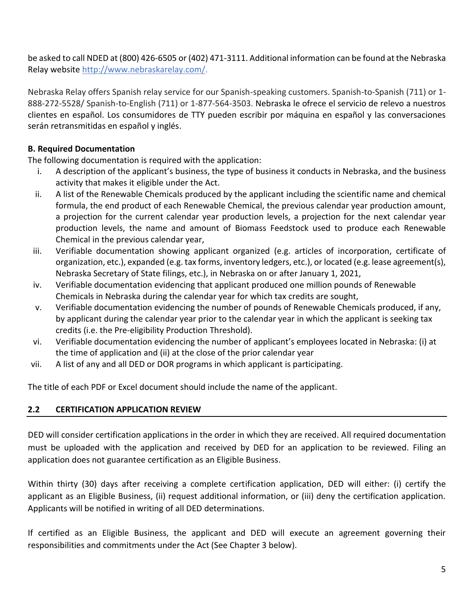be asked to call NDED at (800) 426-6505 or (402) 471-3111. Additional information can be found at the Nebraska Relay website [http://www.nebraskarelay.com/.](http://www.nebraskarelay.com/)

Nebraska Relay offers Spanish relay service for our Spanish-speaking customers. Spanish-to-Spanish (711) or 1- 888-272-5528/ Spanish-to-English (711) or 1-877-564-3503. Nebraska le ofrece el servicio de relevo a nuestros clientes en español. Los consumidores de TTY pueden escribir por máquina en español y las conversaciones serán retransmitidas en español y inglés.

#### <span id="page-7-0"></span>**B. Required Documentation**

The following documentation is required with the application:

- i. A description of the applicant's business, the type of business it conducts in Nebraska, and the business activity that makes it eligible under the Act.
- ii. A list of the Renewable Chemicals produced by the applicant including the scientific name and chemical formula, the end product of each Renewable Chemical, the previous calendar year production amount, a projection for the current calendar year production levels, a projection for the next calendar year production levels, the name and amount of Biomass Feedstock used to produce each Renewable Chemical in the previous calendar year,
- iii. Verifiable documentation showing applicant organized (e.g. articles of incorporation, certificate of organization, etc.), expanded (e.g. tax forms, inventory ledgers, etc.), or located (e.g. lease agreement(s), Nebraska Secretary of State filings, etc.), in Nebraska on or after January 1, 2021,
- iv. Verifiable documentation evidencing that applicant produced one million pounds of Renewable Chemicals in Nebraska during the calendar year for which tax credits are sought,
- v. Verifiable documentation evidencing the number of pounds of Renewable Chemicals produced, if any, by applicant during the calendar year prior to the calendar year in which the applicant is seeking tax credits (i.e. the Pre-eligibility Production Threshold).
- vi. Verifiable documentation evidencing the number of applicant's employees located in Nebraska: (i) at the time of application and (ii) at the close of the prior calendar year
- vii. A list of any and all DED or DOR programs in which applicant is participating.

The title of each PDF or Excel document should include the name of the applicant.

#### **2.2 CERTIFICATION APPLICATION REVIEW**

DED will consider certification applications in the order in which they are received. All required documentation must be uploaded with the application and received by DED for an application to be reviewed. Filing an application does not guarantee certification as an Eligible Business.

Within thirty (30) days after receiving a complete certification application, DED will either: (i) certify the applicant as an Eligible Business, (ii) request additional information, or (iii) deny the certification application. Applicants will be notified in writing of all DED determinations.

If certified as an Eligible Business, the applicant and DED will execute an agreement governing their responsibilities and commitments under the Act (See Chapter 3 below).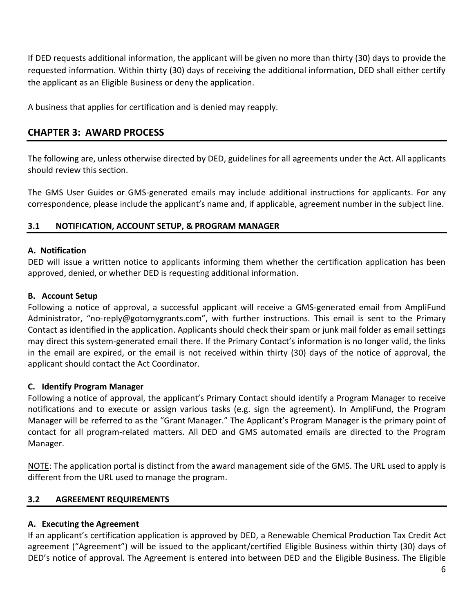If DED requests additional information, the applicant will be given no more than thirty (30) days to provide the requested information. Within thirty (30) days of receiving the additional information, DED shall either certify the applicant as an Eligible Business or deny the application.

A business that applies for certification and is denied may reapply.

#### <span id="page-8-0"></span>**CHAPTER 3: AWARD PROCESS**

The following are, unless otherwise directed by DED, guidelines for all agreements under the Act. All applicants should review this section.

The GMS User Guides or GMS-generated emails may include additional instructions for applicants. For any correspondence, please include the applicant's name and, if applicable, agreement number in the subject line.

#### <span id="page-8-1"></span>**3.1 NOTIFICATION, ACCOUNT SETUP, & PROGRAM MANAGER**

#### **A. Notification**

DED will issue a written notice to applicants informing them whether the certification application has been approved, denied, or whether DED is requesting additional information.

#### **B. Account Setup**

Following a notice of approval, a successful applicant will receive a GMS-generated email from AmpliFund Administrator, "no-reply@gotomygrants.com", with further instructions. This email is sent to the Primary Contact as identified in the application. Applicants should check their spam or junk mail folder as email settings may direct this system-generated email there. If the Primary Contact's information is no longer valid, the links in the email are expired, or the email is not received within thirty (30) days of the notice of approval, the applicant should contact the Act Coordinator.

#### **C. Identify Program Manager**

Following a notice of approval, the applicant's Primary Contact should identify a Program Manager to receive notifications and to execute or assign various tasks (e.g. sign the agreement). In AmpliFund, the Program Manager will be referred to as the "Grant Manager." The Applicant's Program Manager is the primary point of contact for all program-related matters. All DED and GMS automated emails are directed to the Program Manager.

NOTE: The application portal is distinct from the award management side of the GMS. The URL used to apply is different from the URL used to manage the program.

#### <span id="page-8-2"></span>**3.2 AGREEMENT REQUIREMENTS**

#### **A. Executing the Agreement**

If an applicant's certification application is approved by DED, a Renewable Chemical Production Tax Credit Act agreement ("Agreement") will be issued to the applicant/certified Eligible Business within thirty (30) days of DED's notice of approval. The Agreement is entered into between DED and the Eligible Business. The Eligible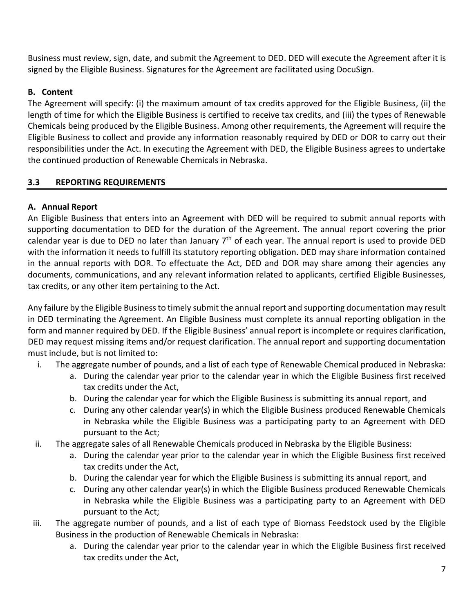Business must review, sign, date, and submit the Agreement to DED. DED will execute the Agreement after it is signed by the Eligible Business. Signatures for the Agreement are facilitated using DocuSign.

#### **B. Content**

The Agreement will specify: (i) the maximum amount of tax credits approved for the Eligible Business, (ii) the length of time for which the Eligible Business is certified to receive tax credits, and (iii) the types of Renewable Chemicals being produced by the Eligible Business. Among other requirements, the Agreement will require the Eligible Business to collect and provide any information reasonably required by DED or DOR to carry out their responsibilities under the Act. In executing the Agreement with DED, the Eligible Business agrees to undertake the continued production of Renewable Chemicals in Nebraska.

#### **3.3 REPORTING REQUIREMENTS**

#### **A. Annual Report**

An Eligible Business that enters into an Agreement with DED will be required to submit annual reports with supporting documentation to DED for the duration of the Agreement. The annual report covering the prior calendar year is due to DED no later than January  $7<sup>th</sup>$  of each year. The annual report is used to provide DED with the information it needs to fulfill its statutory reporting obligation. DED may share information contained in the annual reports with DOR. To effectuate the Act, DED and DOR may share among their agencies any documents, communications, and any relevant information related to applicants, certified Eligible Businesses, tax credits, or any other item pertaining to the Act.

Any failure by the Eligible Business to timely submit the annual report and supporting documentation may result in DED terminating the Agreement. An Eligible Business must complete its annual reporting obligation in the form and manner required by DED. If the Eligible Business' annual report is incomplete or requires clarification, DED may request missing items and/or request clarification. The annual report and supporting documentation must include, but is not limited to:

- i. The aggregate number of pounds, and a list of each type of Renewable Chemical produced in Nebraska:
	- a. During the calendar year prior to the calendar year in which the Eligible Business first received tax credits under the Act,
	- b. During the calendar year for which the Eligible Business is submitting its annual report, and
	- c. During any other calendar year(s) in which the Eligible Business produced Renewable Chemicals in Nebraska while the Eligible Business was a participating party to an Agreement with DED pursuant to the Act;
- ii. The aggregate sales of all Renewable Chemicals produced in Nebraska by the Eligible Business:
	- a. During the calendar year prior to the calendar year in which the Eligible Business first received tax credits under the Act,
	- b. During the calendar year for which the Eligible Business is submitting its annual report, and
	- c. During any other calendar year(s) in which the Eligible Business produced Renewable Chemicals in Nebraska while the Eligible Business was a participating party to an Agreement with DED pursuant to the Act;
- iii. The aggregate number of pounds, and a list of each type of Biomass Feedstock used by the Eligible Business in the production of Renewable Chemicals in Nebraska:
	- a. During the calendar year prior to the calendar year in which the Eligible Business first received tax credits under the Act,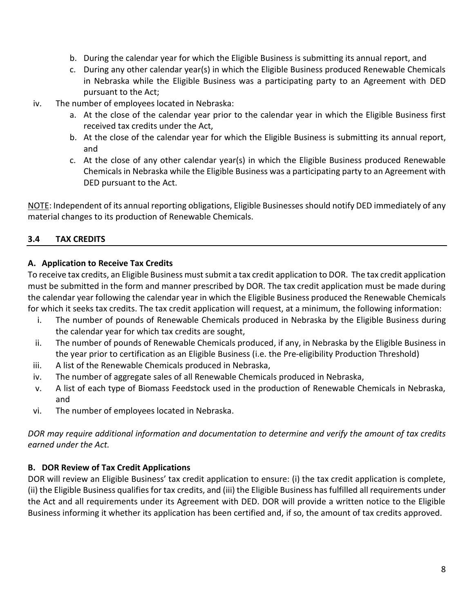- b. During the calendar year for which the Eligible Business is submitting its annual report, and
- c. During any other calendar year(s) in which the Eligible Business produced Renewable Chemicals in Nebraska while the Eligible Business was a participating party to an Agreement with DED pursuant to the Act;
- iv. The number of employees located in Nebraska:
	- a. At the close of the calendar year prior to the calendar year in which the Eligible Business first received tax credits under the Act,
	- b. At the close of the calendar year for which the Eligible Business is submitting its annual report, and
	- c. At the close of any other calendar year(s) in which the Eligible Business produced Renewable Chemicals in Nebraska while the Eligible Business was a participating party to an Agreement with DED pursuant to the Act.

NOTE: Independent of its annual reporting obligations, Eligible Businesses should notify DED immediately of any material changes to its production of Renewable Chemicals.

#### **3.4 TAX CREDITS**

#### **A. Application to Receive Tax Credits**

To receive tax credits, an Eligible Business must submit a tax credit application to DOR. The tax credit application must be submitted in the form and manner prescribed by DOR. The tax credit application must be made during the calendar year following the calendar year in which the Eligible Business produced the Renewable Chemicals for which it seeks tax credits. The tax credit application will request, at a minimum, the following information:

- i. The number of pounds of Renewable Chemicals produced in Nebraska by the Eligible Business during the calendar year for which tax credits are sought,
- ii. The number of pounds of Renewable Chemicals produced, if any, in Nebraska by the Eligible Business in the year prior to certification as an Eligible Business (i.e. the Pre-eligibility Production Threshold)
- iii. A list of the Renewable Chemicals produced in Nebraska,
- iv. The number of aggregate sales of all Renewable Chemicals produced in Nebraska,
- v. A list of each type of Biomass Feedstock used in the production of Renewable Chemicals in Nebraska, and
- vi. The number of employees located in Nebraska.

*DOR may require additional information and documentation to determine and verify the amount of tax credits earned under the Act.*

#### **B. DOR Review of Tax Credit Applications**

DOR will review an Eligible Business' tax credit application to ensure: (i) the tax credit application is complete, (ii) the Eligible Business qualifies for tax credits, and (iii) the Eligible Business has fulfilled all requirements under the Act and all requirements under its Agreement with DED. DOR will provide a written notice to the Eligible Business informing it whether its application has been certified and, if so, the amount of tax credits approved.